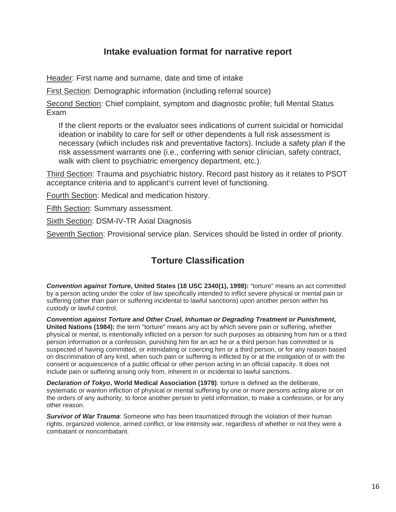## **Intake evaluation format for narrative report**

Header: First name and surname, date and time of intake

First Section: Demographic information (including referral source)

Second Section: Chief complaint, symptom and diagnostic profile; full Mental Status Exam

If the client reports or the evaluator sees indications of current suicidal or homicidal ideation or inability to care for self or other dependents a full risk assessment is necessary (which includes risk and preventative factors). Include a safety plan if the risk assessment warrants one (i.e., conferring with senior clinician, safety contract, walk with client to psychiatric emergency department, etc.).

Third Section: Trauma and psychiatric history. Record past history as it relates to PSOT acceptance criteria and to applicant's current level of functioning.

Fourth Section: Medical and medication history.

Fifth Section: Summary assessment.

Sixth Section: DSM-IV-TR Axial Diagnosis

Seventh Section: Provisional service plan. Services should be listed in order of priority.

## **Torture Classification**

*Convention against Torture***, United States (18 USC 2340(1), 1998):** "torture" means an act committed by a person acting under the color of law specifically intended to inflict severe physical or mental pain or suffering (other than pain or suffering incidental to lawful sanctions) upon another person within his custody or lawful control.

*Convention against Torture and Other Cruel, Inhuman or Degrading Treatment or Punishment***, United Nations (1984):** the term "torture" means any act by which severe pain or suffering, whether physical or mental, is intentionally inflicted on a person for such purposes as obtaining from him or a third person information or a confession, punishing him for an act he or a third person has committed or is suspected of having committed, or intimidating or coercing him or a third person, or for any reason based on discrimination of any kind, when such pain or suffering is inflicted by or at the instigation of or with the consent or acquiescence of a public official or other person acting in an official capacity. It does not include pain or suffering arising only from, inherent in or incidental to lawful sanctions.

*Declaration of Tokyo***, World Medical Association (1978)**: torture is defined as the deliberate, systematic or wanton infliction of physical or mental suffering by one or more persons acting alone or on the orders of any authority, to force another person to yield information, to make a confession, or for any other reason.

**Survivor of War Trauma:** Someone who has been traumatized through the violation of their human rights, organized violence, armed conflict, or low intensity war, regardless of whether or not they were a combatant or noncombatant.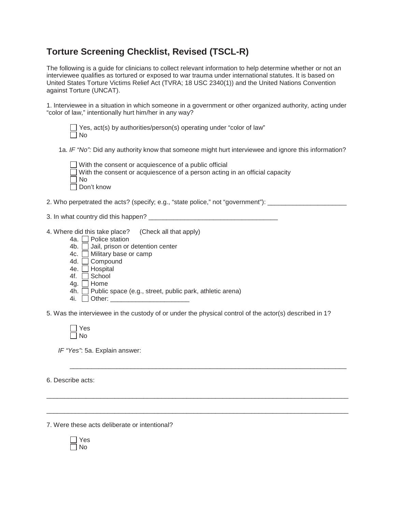## **Torture Screening Checklist, Revised (TSCL-R)**

The following is a guide for clinicians to collect relevant information to help determine whether or not an interviewee qualifies as tortured or exposed to war trauma under international statutes. It is based on United States Torture Victims Relief Act (TVRA; 18 USC 2340(1)) and the United Nations Convention against Torture (UNCAT).

1. Interviewee in a situation in which someone in a government or other organized authority, acting under "color of law," intentionally hurt him/her in any way?

|           |  |  | $\Box$ Yes, act(s) by authorities/person(s) operating under "color of law" |  |  |
|-----------|--|--|----------------------------------------------------------------------------|--|--|
| $\Box$ No |  |  |                                                                            |  |  |

1a. *IF "No":* Did any authority know that someone might hurt interviewee and ignore this information?

| $\Box$ With the consent or acquiescence of a public official                       |
|------------------------------------------------------------------------------------|
| $\Box$ With the consent or acquiescence of a person acting in an official capacity |
| $\Box$ No                                                                          |
| $\Box$ Don't know                                                                  |

2. Who perpetrated the acts? (specify; e.g., "state police," not "government"): \_\_\_\_\_\_\_\_\_\_\_\_\_\_\_\_\_\_\_\_\_\_\_\_\_\_\_\_\_

- 3. In what country did this happen? \_\_\_\_\_\_\_\_\_\_\_\_\_\_\_\_\_\_\_\_\_\_\_\_\_\_\_\_\_\_\_\_\_\_\_\_
- 4. Where did this take place? (Check all that apply)
	- 4a.  $\Box$  Police station
	- 4b.  $\Box$  Jail, prison or detention center
	- 4c. Military base or camp
	- 4d. Compound
	- 4e. □ Hospital
	- 4f.  $\overline{\Box}$  School
	- 4g. □ Home
	- $4h.$  Public space (e.g., street, public park, athletic arena)
	- 4i.  $\Box$  Other:

5. Was the interviewee in the custody of or under the physical control of the actor(s) described in 1?

\_\_\_\_\_\_\_\_\_\_\_\_\_\_\_\_\_\_\_\_\_\_\_\_\_\_\_\_\_\_\_\_\_\_\_\_\_\_\_\_\_\_\_\_\_\_\_\_\_\_\_\_\_\_\_\_\_\_\_\_\_\_\_\_\_\_\_\_\_\_\_\_\_\_\_\_\_

\_\_\_\_\_\_\_\_\_\_\_\_\_\_\_\_\_\_\_\_\_\_\_\_\_\_\_\_\_\_\_\_\_\_\_\_\_\_\_\_\_\_\_\_\_\_\_\_\_\_\_\_\_\_\_\_\_\_\_\_\_\_\_\_\_\_\_\_\_\_\_\_\_\_\_\_\_\_\_\_\_\_\_\_

\_\_\_\_\_\_\_\_\_\_\_\_\_\_\_\_\_\_\_\_\_\_\_\_\_\_\_\_\_\_\_\_\_\_\_\_\_\_\_\_\_\_\_\_\_\_\_\_\_\_\_\_\_\_\_\_\_\_\_\_\_\_\_\_\_\_\_\_\_\_\_\_\_\_\_\_\_\_\_\_\_\_\_\_

*IF "Yes"*: 5a. Explain answer:

6. Describe acts:

7. Were these acts deliberate or intentional?

 $\Box$  Yes  $\overline{\Box}$  No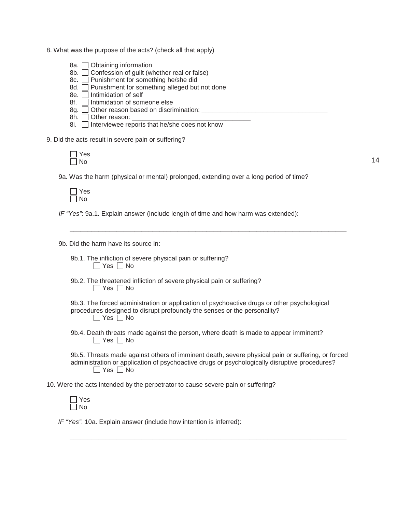- 8. What was the purpose of the acts? (check all that apply)
	- 8a. **Obtaining information**
	- 8b.  $\Box$  Confession of guilt (whether real or false)
	- 8c.  $\Box$  Punishment for something he/she did
	- 8d.  $\Box$  Punishment for something alleged but not done
	- 8e.  $\Box$  Intimidation of self
	- 8f. **Intimidation of someone else**
	- 8g.  $\square$  Other reason based on discrimination: \_\_\_\_\_\_\_\_\_\_\_\_\_\_\_\_\_\_\_\_\_\_\_\_\_\_\_\_\_\_\_\_\_
	- 8h.  $\Box$  Other reason:  $\Box$
	- 8i.  $\Box$  Interviewee reports that he/she does not know

9. Did the acts result in severe pain or suffering?

9a. Was the harm (physical or mental) prolonged, extending over a long period of time?



*IF "Yes"*: 9a.1. Explain answer (include length of time and how harm was extended):

9b. Did the harm have its source in:

- 9b.1. The infliction of severe physical pain or suffering?  $\Box$  Yes  $\Box$  No
- 9b.2. The threatened infliction of severe physical pain or suffering?  $\Box$  Yes  $\Box$  No

9b.3. The forced administration or application of psychoactive drugs or other psychological procedures designed to disrupt profoundly the senses or the personality?  $\Box$  Yes  $\Box$  No

\_\_\_\_\_\_\_\_\_\_\_\_\_\_\_\_\_\_\_\_\_\_\_\_\_\_\_\_\_\_\_\_\_\_\_\_\_\_\_\_\_\_\_\_\_\_\_\_\_\_\_\_\_\_\_\_\_\_\_\_\_\_\_\_\_\_\_\_\_\_\_\_\_\_\_\_\_

9b.4. Death threats made against the person, where death is made to appear imminent?  $\Box$  Yes  $\Box$  No

9b.5. Threats made against others of imminent death, severe physical pain or suffering, or forced administration or application of psychoactive drugs or psychologically disruptive procedures?  $\Box$  Yes  $\Box$  No

\_\_\_\_\_\_\_\_\_\_\_\_\_\_\_\_\_\_\_\_\_\_\_\_\_\_\_\_\_\_\_\_\_\_\_\_\_\_\_\_\_\_\_\_\_\_\_\_\_\_\_\_\_\_\_\_\_\_\_\_\_\_\_\_\_\_\_\_\_\_\_\_\_\_\_\_\_

10. Were the acts intended by the perpetrator to cause severe pain or suffering?

*IF "Yes"*: 10a. Explain answer (include how intention is inferred):